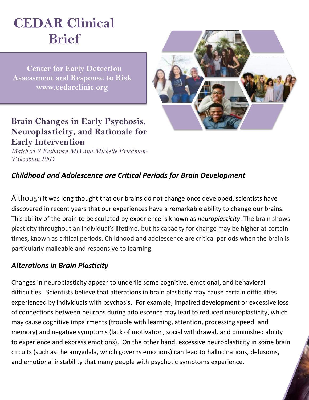# **CEDAR Clinical Brief**

 **Center for Early Detection Assessment and Response to Risk www.cedarclinic.org**

## **Brain Changes in Early Psychosis, Neuroplasticity, and Rationale for Early Intervention**

*Matcheri S Keshavan MD and Michelle Friedman-Yakoobian PhD*

### *Childhood and Adolescence are Critical Periods for Brain Development*

Although it was long thought that our brains do not change once developed, scientists have discovered in recent years that our experiences have a remarkable ability to change our brains. This ability of the brain to be sculpted by experience is known as *neuroplasticity*. The brain shows plasticity throughout an individual's lifetime, but its capacity for change may be higher at certain times, known as critical periods. Childhood and adolescence are critical periods when the brain is particularly malleable and responsive to learning.

#### *Alterations in Brain Plasticity*

Changes in neuroplasticity appear to underlie some cognitive, emotional, and behavioral difficulties. Scientists believe that alterations in brain plasticity may cause certain difficulties experienced by individuals with psychosis. For example, impaired development or excessive loss of connections between neurons during adolescence may lead to reduced neuroplasticity, which may cause cognitive impairments (trouble with learning, attention, processing speed, and memory) and negative symptoms (lack of motivation, social withdrawal, and diminished ability to experience and express emotions). On the other hand, excessive neuroplasticity in some brain circuits (such as the amygdala, which governs emotions) can lead to hallucinations, delusions, and emotional instability that many people with psychotic symptoms experience.